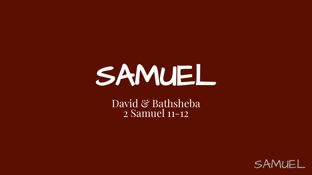# SAMUEL

David & Bathsheba 2 Samuel 11-12

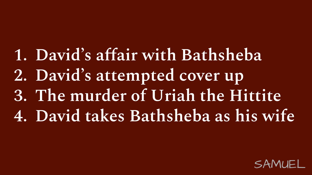## **1. David's affair with Bathsheba**

- **2. David's attempted cover up**
- **3. The murder of Uriah the Hittite**
- **4. David takes Bathsheba as his wife**

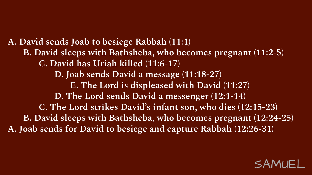**A. David sends Joab to besiege Rabbah (11:1) B. David sleeps with Bathsheba, who becomes pregnant (11:2-5) C. David has Uriah killed (11:6-17) D. Joab sends David a message (11:18-27) E. The Lord is displeased with David (11:27) D. The Lord sends David a messenger (12:1-14) C. The Lord strikes David's infant son, who dies (12:15-23) B. David sleeps with Bathsheba, who becomes pregnant (12:24-25) A. Joab sends for David to besiege and capture Rabbah (12:26-31)**

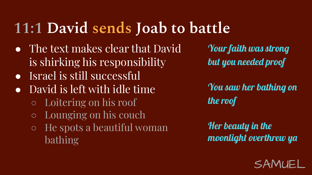### **11:1 David sends Joab to battle**

- The text makes clear that David is shirking his responsibility
- Israel is still successful
- David is left with idle time
	- Loitering on his roof
	- Lounging on his couch
	- He spots a beautiful woman bathing

[Your faith was strong](https://genius.com/2032002/Leonard-cohen-hallelujah/Your-faith-was-strong-but-you-needed-proof)  [but you needed proof](https://genius.com/2032002/Leonard-cohen-hallelujah/Your-faith-was-strong-but-you-needed-proof)

[You saw her bathing on](https://genius.com/36803/Leonard-cohen-hallelujah/You-saw-her-bathing-on-the-roof)  [the roof](https://genius.com/36803/Leonard-cohen-hallelujah/You-saw-her-bathing-on-the-roof)

[Her beauty in the](https://genius.com/10850898/Leonard-cohen-hallelujah/Her-beauty-in-the-moonlight-overthrew-ya)  [moonlight overthrew ya](https://genius.com/10850898/Leonard-cohen-hallelujah/Her-beauty-in-the-moonlight-overthrew-ya)

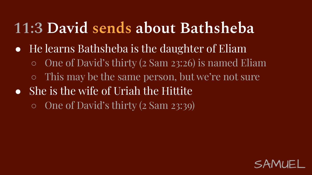#### **11:3 David sends about Bathsheba**

- He learns Bathsheba is the daughter of Eliam
	- One of David's thirty (2 Sam 23:26) is named Eliam
	- This may be the same person, but we're not sure
- She is the wife of Uriah the Hittite ○ One of David's thirty (2 Sam 23:39)

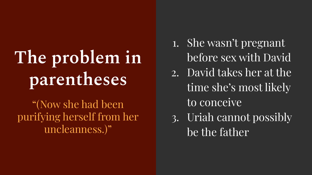# **The problem in parentheses**

"(Now she had been purifying herself from her uncleanness.)"

- 1. She wasn't pregnant before sex with David
- 2. David takes her at the time she's most likely to conceive
- 3. Uriah cannot possibly be the father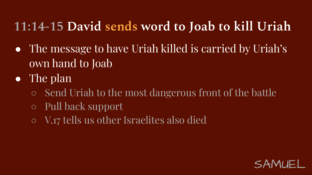#### **11:14-15 David sends word to Joab to kill Uriah**

- The message to have Uriah killed is carried by Uriah's own hand to Joab
- The plan
	- Send Uriah to the most dangerous front of the battle
	- Pull back support
	- V.17 tells us other Israelites also died

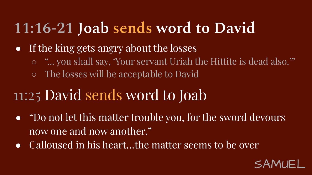### **11:16-21 Joab sends word to David**

- If the king gets angry about the losses
	- "... you shall say, 'Your servant Uriah the Hittite is dead also.'"
	- The losses will be acceptable to David

#### 11:25 David sends word to Joab

- "Do not let this matter trouble you, for the sword devours now one and now another."
- Calloused in his heart...the matter seems to be over

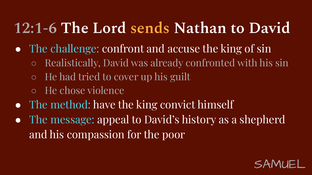### **12:1-6 The Lord sends Nathan to David**

- The challenge: confront and accuse the king of sin
	- Realistically, David was already confronted with his sin
	- $\circ$  He had tried to cover up his guilt
	- He chose violence
- The method: have the king convict himself
- The message: appeal to David's history as a shepherd and his compassion for the poor

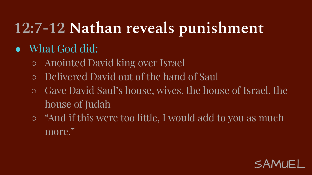## **12:7-12 Nathan reveals punishment**

#### ● What God did:

- Anointed David king over Israel
- Delivered David out of the hand of Saul
- Gave David Saul's house, wives, the house of Israel, the house of Judah
- "And if this were too little, I would add to you as much more."

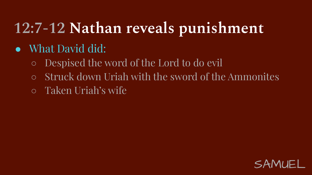### **12:7-12 Nathan reveals punishment**

- What David did:
	- Despised the word of the Lord to do evil
	- Struck down Uriah with the sword of the Ammonites
	- Taken Uriah's wife

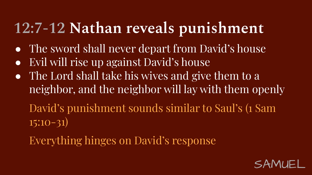#### **12:7-12 Nathan reveals punishment**

- The sword shall never depart from David's house
- Evil will rise up against David's house
- The Lord shall take his wives and give them to a neighbor, and the neighbor will lay with them openly

David's punishment sounds similar to Saul's (1 Sam 15:10-31)

Everything hinges on David's response

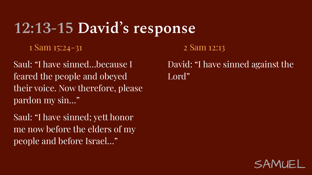#### **12:13-15 David's response**

1 Sam 15:24-31

Saul: "I have sinned…because I feared the people and obeyed their voice. Now therefore, please pardon my sin…"

Saul: "I have sinned; yett honor me now before the elders of my people and before Israel…"

2 Sam 12:13

David: "I have sinned against the Lord"

![](_page_12_Picture_6.jpeg)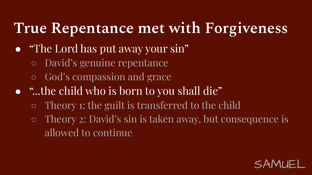#### **True Repentance met with Forgiveness**

- "The Lord has put away your sin"
	- David's genuine repentance
	- God's compassion and grace
- "...the child who is born to you shall die"
	- Theory 1: the guilt is transferred to the child
	- Theory 2: David's sin is taken away, but consequence is allowed to continue

![](_page_13_Picture_7.jpeg)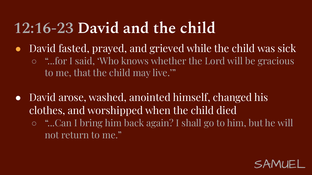#### **12:16-23 David and the child**

- David fasted, prayed, and grieved while the child was sick ○ "...for I said, 'Who knows whether the Lord will be gracious
	- to me, that the child may live.'"
- David arose, washed, anointed himself, changed his clothes, and worshipped when the child died
	- "...Can I bring him back again? I shall go to him, but he will not return to me."

![](_page_14_Picture_5.jpeg)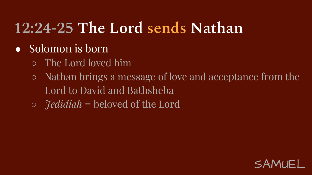## **12:24-25 The Lord sends Nathan**

- Solomon is born
	- The Lord loved him
	- Nathan brings a message of love and acceptance from the Lord to David and Bathsheba
	- *○ Jedidiah* = beloved of the Lord

![](_page_15_Picture_5.jpeg)